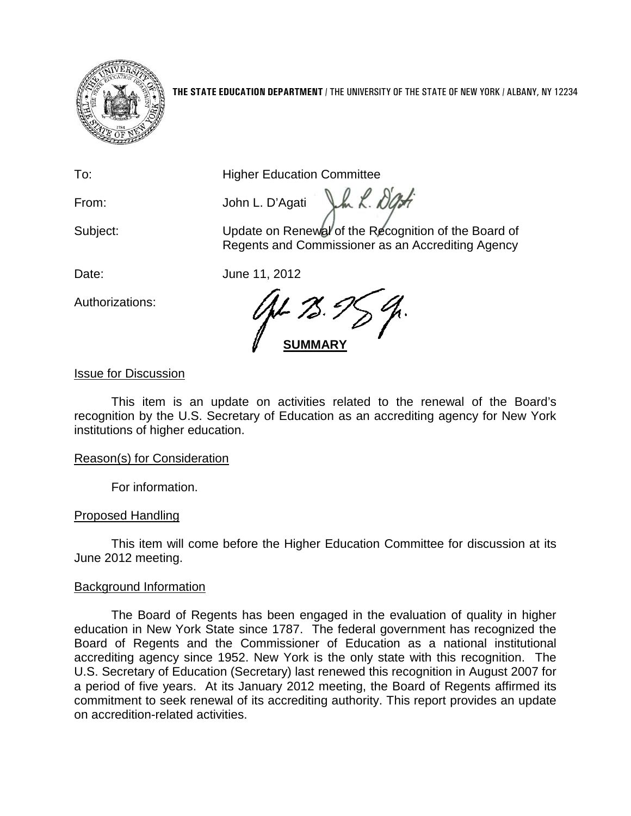

**THE STATE EDUCATION DEPARTMENT** / THE UNIVERSITY OF THE STATE OF NEW YORK / ALBANY, NY 12234

To: **Higher Education Committee** 

From: John L. D'Agati

Subject: Update on Renewal of the Recognition of the Board of Regents and Commissioner as an Accrediting Agency

Vm L. Dati

Authorizations:

Date: June 11, 2012

**SUMMARY**

Issue for Discussion

This item is an update on activities related to the renewal of the Board's recognition by the U.S. Secretary of Education as an accrediting agency for New York institutions of higher education.

# Reason(s) for Consideration

For information.

# Proposed Handling

This item will come before the Higher Education Committee for discussion at its June 2012 meeting.

# Background Information

The Board of Regents has been engaged in the evaluation of quality in higher education in New York State since 1787. The federal government has recognized the Board of Regents and the Commissioner of Education as a national institutional accrediting agency since 1952. New York is the only state with this recognition. The U.S. Secretary of Education (Secretary) last renewed this recognition in August 2007 for a period of five years. At its January 2012 meeting, the Board of Regents affirmed its commitment to seek renewal of its accrediting authority. This report provides an update on accredition-related activities.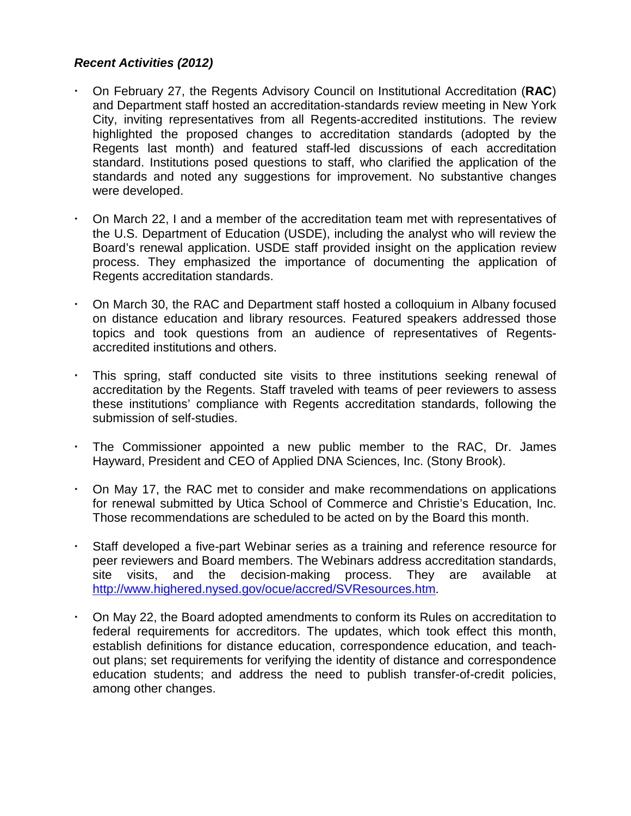### *Recent Activities (2012)*

- On February 27, the Regents Advisory Council on Institutional Accreditation (**RAC**) and Department staff hosted an accreditation-standards review meeting in New York City, inviting representatives from all Regents-accredited institutions. The review highlighted the proposed changes to accreditation standards (adopted by the Regents last month) and featured staff-led discussions of each accreditation standard. Institutions posed questions to staff, who clarified the application of the standards and noted any suggestions for improvement. No substantive changes were developed.
- On March 22, I and a member of the accreditation team met with representatives of the U.S. Department of Education (USDE), including the analyst who will review the Board's renewal application. USDE staff provided insight on the application review process. They emphasized the importance of documenting the application of Regents accreditation standards.
- On March 30, the RAC and Department staff hosted a colloquium in Albany focused on distance education and library resources. Featured speakers addressed those topics and took questions from an audience of representatives of Regentsaccredited institutions and others.
- This spring, staff conducted site visits to three institutions seeking renewal of accreditation by the Regents. Staff traveled with teams of peer reviewers to assess these institutions' compliance with Regents accreditation standards, following the submission of self-studies.
- The Commissioner appointed a new public member to the RAC, Dr. James Hayward, President and CEO of Applied DNA Sciences, Inc. (Stony Brook).
- On May 17, the RAC met to consider and make recommendations on applications for renewal submitted by Utica School of Commerce and Christie's Education, Inc. Those recommendations are scheduled to be acted on by the Board this month.
- Staff developed a five-part Webinar series as a training and reference resource for peer reviewers and Board members. The Webinars address accreditation standards, site visits, and the decision-making process. They are available at <http://www.highered.nysed.gov/ocue/accred/SVResources.htm>.
- On May 22, the Board adopted amendments to conform its Rules on accreditation to federal requirements for accreditors. The updates, which took effect this month, establish definitions for distance education, correspondence education, and teachout plans; set requirements for verifying the identity of distance and correspondence education students; and address the need to publish transfer-of-credit policies, among other changes.